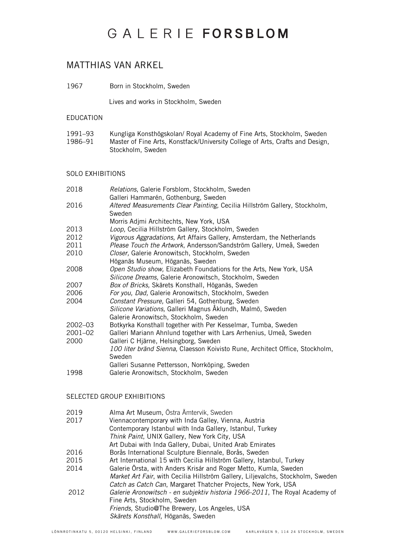## GALERIE FORSBLOM

### MATTHIAS VAN ARKEL

1967 Born in Stockholm, Sweden

Lives and works in Stockholm, Sweden

#### EDUCATION

| 1991–93 | Kungliga Konsthögskolan/ Royal Academy of Fine Arts, Stockholm, Sweden        |
|---------|-------------------------------------------------------------------------------|
| 1986–91 | Master of Fine Arts, Konstfack/University College of Arts, Crafts and Design, |
|         | Stockholm, Sweden                                                             |

### SOLO EXHIBITIONS

| 2018        | Relations, Galerie Forsblom, Stockholm, Sweden                               |
|-------------|------------------------------------------------------------------------------|
|             | Galleri Hammarén, Gothenburg, Sweden                                         |
| 2016        | Altered Measurements Clear Painting, Cecilia Hillström Gallery, Stockholm,   |
|             | Sweden                                                                       |
|             | Morris Adjmi Architechts, New York, USA                                      |
| 2013        | Loop, Cecilia Hillström Gallery, Stockholm, Sweden                           |
| 2012        | Vigorous Aggradations, Art Affairs Gallery, Amsterdam, the Netherlands       |
| 2011        | Please Touch the Artwork, Andersson/Sandström Gallery, Umeå, Sweden          |
| 2010        | Closer, Galerie Aronowitsch, Stockholm, Sweden                               |
|             | Höganäs Museum, Höganäs, Sweden                                              |
| 2008        | Open Studio show, Elizabeth Foundations for the Arts, New York, USA          |
|             | Silicone Dreams, Galerie Aronowitsch, Stockholm, Sweden                      |
| 2007        | Box of Bricks, Skärets Konsthall, Höganäs, Sweden                            |
| 2006        | For you, Dad, Galerie Aronowitsch, Stockholm, Sweden                         |
| 2004        | Constant Pressure, Galleri 54, Gothenburg, Sweden                            |
|             | Silicone Variations, Galleri Magnus Åklundh, Malmö, Sweden                   |
|             | Galerie Aronowitsch, Stockholm, Sweden                                       |
| $2002 - 03$ | Botkyrka Konsthall together with Per Kesselmar, Tumba, Sweden                |
| 2001-02     | Galleri Mariann Ahnlund together with Lars Arrhenius, Umeå, Sweden           |
| 2000        | Galleri C Hjärne, Helsingborg, Sweden                                        |
|             | 100 liter bränd Sienna, Claesson Koivisto Rune, Architect Office, Stockholm, |
|             | Sweden                                                                       |
|             | Galleri Susanne Pettersson, Norrköping, Sweden                               |
| 1998        | Galerie Aronowitsch, Stockholm, Sweden                                       |
|             |                                                                              |

### SELECTED GROUP EXHIBITIONS

| 2019 | Alma Art Museum, Östra Ämtervik, Sweden                                         |
|------|---------------------------------------------------------------------------------|
| 2017 | Viennacontemporary with Inda Galley, Vienna, Austria                            |
|      | Contemporary Istanbul with Inda Gallery, Istanbul, Turkey                       |
|      | Think Paint, UNIX Gallery, New York City, USA                                   |
|      | Art Dubai with Inda Gallery, Dubai, United Arab Emirates                        |
| 2016 | Borås International Sculpture Biennale, Borås, Sweden                           |
| 2015 | Art International 15 with Cecilia Hillström Gallery, Istanbul, Turkey           |
| 2014 | Galerie Örsta, with Anders Krisár and Roger Metto, Kumla, Sweden                |
|      | Market Art Fair, with Cecilia Hillström Gallery, Liljevalchs, Stockholm, Sweden |
|      | Catch as Catch Can, Margaret Thatcher Projects, New York, USA                   |
| 2012 | Galerie Aronowitsch - en subjektiv historia 1966-2011, The Royal Academy of     |
|      | Fine Arts, Stockholm, Sweden                                                    |
|      | Friends, Studio@The Brewery, Los Angeles, USA                                   |
|      | Skärets Konsthall, Höganäs, Sweden                                              |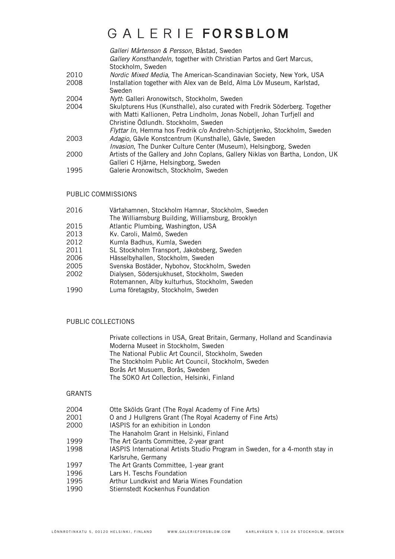### GAIFRIFFORSBIOM

*Galleri Mårtenson & Persson*, Båstad, Sweden *Gallery Konsthandeln*, together with Christian Partos and Gert Marcus, Stockholm, Sweden

- 2010 *Nordic Mixed Media*, The American-Scandinavian Society, New York, USA
- 2008 Installation together with Alex van de Beld, Alma Löv Museum, Karlstad, Sweden
- 2004 *Nytt*: Galleri Aronowitsch, Stockholm, Sweden
- 2004 Skulpturens Hus (Kunsthalle), also curated with Fredrik Söderberg. Together with Matti Kallionen, Petra Lindholm, Jonas Nobell, Johan Turfjell and Christine Ödlundh. Stockholm, Sweden *Flyttar In*, Hemma hos Fredrik c/o Andrehn-Schiptjenko, Stockholm, Sweden
- 2003 *Adagio*, Gävle Konstcentrum (Kunsthalle), Gävle, Sweden *Invasion*, The Dunker Culture Center (Museum), Helsingborg, Sweden
- 2000 Artists of the Gallery and John Coplans, Gallery Niklas von Bartha, London, UK
- Galleri C Hjärne, Helsingborg, Sweden
- 1995 Galerie Aronowitsch, Stockholm, Sweden

### PUBLIC COMMISSIONS

- 2016 Värtahamnen, Stockholm Hamnar, Stockholm, Sweden
- The Williamsburg Building, Williamsburg, Brooklyn
- 2015 Atlantic Plumbing, Washington, USA
- 2013 Kv. Caroli, Malmö, Sweden
- 2012 Kumla Badhus, Kumla, Sweden<br>2011 SL Stockholm Transport, Jakobs
- 2011 SL Stockholm Transport, Jakobsberg, Sweden<br>2006 Hässelbyhallen. Stockholm. Sweden
- 2006 Hässelbyhallen, Stockholm, Sweden<br>2005 Svenska Bostäder, Nybohov, Stockho
- 2005 Svenska Bostäder, Nybohov, Stockholm, Sweden<br>2002 Dialysen Södersjukhuset Stockholm Sweden
- Dialysen, Södersjukhuset, Stockholm, Sweden
- Rotemannen, Alby kulturhus, Stockholm, Sweden<br>1990 Luma företagsby, Stockholm, Sweden
- Luma företagsby, Stockholm, Sweden

### PUBLIC COLLECTIONS

Private collections in USA, Great Britain, Germany, Holland and Scandinavia Moderna Museet in Stockholm, Sweden The National Public Art Council, Stockholm, Sweden The Stockholm Public Art Council, Stockholm, Sweden Borås Art Musuem, Borås, Sweden The SOKO Art Collection, Helsinki, Finland

#### GRANTS

- 2004 Otte Skölds Grant (The Royal Academy of Fine Arts)<br>2001 O and J Hullgrens Grant (The Royal Academy of Fine
- 2001 O and J Hullgrens Grant (The Royal Academy of Fine Arts)<br>2000 IASPIS for an exhibition in London
- IASPIS for an exhibition in London
- The Hanaholm Grant in Helsinki, Finland
- 1999 The Art Grants Committee, 2-year grant<br>1998 IASPIS International Artists Studio Prog
- 1998 IASPIS International Artists Studio Program in Sweden, for a 4-month stay in Karlsruhe, Germany
- 1997 The Art Grants Committee, 1-year grant
- 1996 Lars H. Teschs Foundation<br>1995 Arthur Lundkvist and Maria
- 1995 Arthur Lundkvist and Maria Wines Foundation<br>1990 Stiernstedt Kockenhus Foundation
- Stiernstedt Kockenhus Foundation